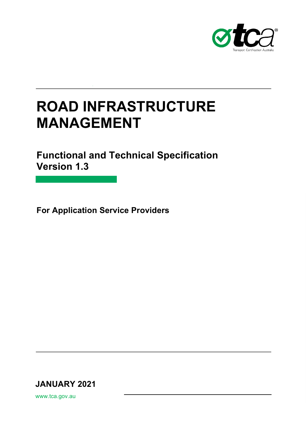

# **Road Infrastructure Monitoring FUALIA CEMENIT MANAGEMENT ROAD INFRASTRUCTURE**

**Functional and Technical Specification Version 1.3** 

**For Application Service Providers**

**JANUARY 2021**

www.tca.gov.au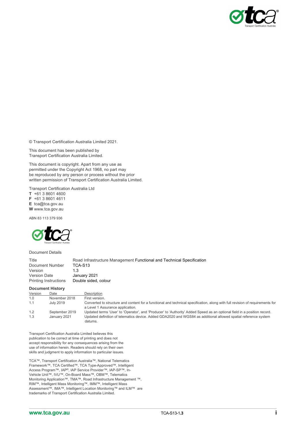

© Transport Certification Australia Limited 2021.

This document has been published by Transport Certification Australia Limited.

This document is copyright. Apart from any use as permitted under the Copyright Act 1968, no part may be reproduced by any person or process without the prior written permission of Transport Certification Australia Limited.

Transport Certification Australia Ltd **T** +61 3 8601 4600

**F** +61 3 8601 4611 **E** tca@tca.gov.au **W** www.tca.gov.au

ABN 83 113 379 936



Document Details

Title Road Infrastructure Management Functional and Technical Specification Document Number TCA-S13<br>Version 1.3 Version<br>Version Date Version Date January 2021<br>Printing Instructions Double sided, Double sided, colour

#### **Document History**

| Version | Date           | Description                                                                                                                                                       |
|---------|----------------|-------------------------------------------------------------------------------------------------------------------------------------------------------------------|
| 1.0     | November 2018  | First version.                                                                                                                                                    |
| 1.1     | July 2019      | Converted to structure and content for a functional and technical specification, along with full revision of requirements for<br>a Level 1 Assurance application. |
| 1.2     | September 2019 | Updated terms 'User' to 'Operator', and 'Producer' to 'Authority' Added Speed as an optional field in a position record.                                          |
| 1.3     | January 2021   | Updated definition of telematics device. Added GDA2020 and WGS84 as additional allowed spatial reference system<br>datums.                                        |

Transport Certification Australia Limited believes this publication to be correct at time of printing and does not accept responsibility for any consequences arising from the use of information herein. Readers should rely on their own skills and judgment to apply information to particular issues.

TCA™, Transport Certification Australia™, National Telematics Framework™, TCA Certified™, TCA Type-Approved™, Intelligent Access Program™, IAP®, IAP Service Provider™, IAP-SP™, In-Vehicle Unit™, IVU™, On-Board Mass™, OBM™, Telematics Monitoring Application™, TMA™, Road Infrastructure Management ™, RIM™, Intelligent Mass Monitoring™, IMM™, Intelligent Mass Assessment™, IMA™, Intelligent Location Monitoring™ and ILM™ are trademarks of Transport Certification Australia Limited.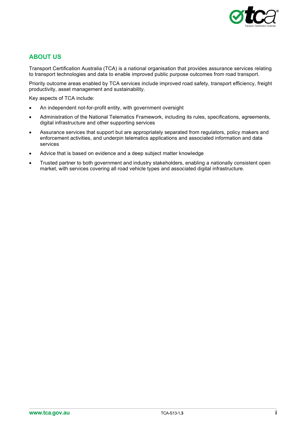

# **ABOUT US**

Transport Certification Australia (TCA) is a national organisation that provides assurance services relating to transport technologies and data to enable improved public purpose outcomes from road transport.

Priority outcome areas enabled by TCA services include improved road safety, transport efficiency, freight productivity, asset management and sustainability.

Key aspects of TCA include:

- An independent not-for-profit entity, with government oversight
- Administration of the National Telematics Framework, including its rules, specifications, agreements, digital infrastructure and other supporting services
- Assurance services that support but are appropriately separated from regulators, policy makers and enforcement activities, and underpin telematics applications and associated information and data services
- Advice that is based on evidence and a deep subject matter knowledge
- Trusted partner to both government and industry stakeholders, enabling a nationally consistent open market, with services covering all road vehicle types and associated digital infrastructure.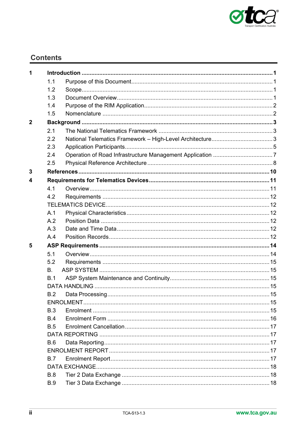

# **Contents**

| 1              |            |  |  |
|----------------|------------|--|--|
|                | 1.1        |  |  |
|                | 1.2        |  |  |
|                | 1.3        |  |  |
|                | 1.4        |  |  |
|                | 1.5        |  |  |
| $\overline{2}$ |            |  |  |
|                | 2.1        |  |  |
|                | 2.2        |  |  |
|                | 2.3        |  |  |
|                | 2.4        |  |  |
|                | 2.5        |  |  |
| 3              |            |  |  |
| 4              |            |  |  |
|                | 4.1        |  |  |
|                | 4.2        |  |  |
|                |            |  |  |
|                | A.1        |  |  |
|                | A.2        |  |  |
|                | A.3        |  |  |
|                | A.4        |  |  |
| 5              |            |  |  |
|                | 5.1        |  |  |
|                | 5.2        |  |  |
|                | <b>B.</b>  |  |  |
|                | B.1        |  |  |
|                |            |  |  |
|                | B.2        |  |  |
|                |            |  |  |
|                | B.3        |  |  |
|                | B.4        |  |  |
|                | B.5        |  |  |
|                |            |  |  |
|                | B.6        |  |  |
|                |            |  |  |
|                | B.7        |  |  |
|                |            |  |  |
|                | B.8        |  |  |
|                | <b>B.9</b> |  |  |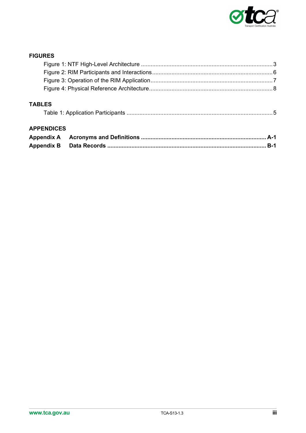

# **FIGURES**

| <b>TABLES</b>     |       |
|-------------------|-------|
| <b>APPENDICES</b> |       |
| <b>Appendix A</b> |       |
|                   | $B-1$ |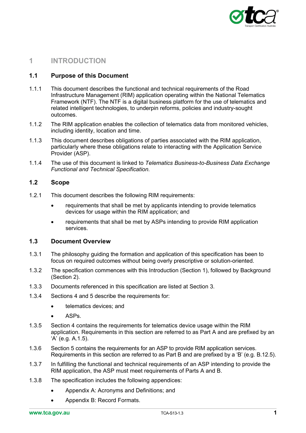

# <span id="page-5-0"></span>**1 INTRODUCTION**

### <span id="page-5-1"></span>**1.1 Purpose of this Document**

- 1.1.1 This document describes the functional and technical requirements of the Road Infrastructure Management (RIM) application operating within the National Telematics Framework (NTF). The NTF is a digital business platform for the use of telematics and related intelligent technologies, to underpin reforms, policies and industry-sought outcomes.
- 1.1.2 The RIM application enables the collection of telematics data from monitored vehicles, including identity, location and time.
- 1.1.3 This document describes obligations of parties associated with the RIM application, particularly where these obligations relate to interacting with the Application Service Provider (ASP).
- 1.1.4 The use of this document is linked to *Telematics Business-to-Business Data Exchange Functional and Technical Specification.*

### <span id="page-5-2"></span>**1.2 Scope**

- 1.2.1 This document describes the following RIM requirements:
	- requirements that shall be met by applicants intending to provide telematics devices for usage within the RIM application; and
	- requirements that shall be met by ASPs intending to provide RIM application services.

#### <span id="page-5-3"></span>**1.3 Document Overview**

- 1.3.1 The philosophy guiding the formation and application of this specification has been to focus on required outcomes without being overly prescriptive or solution-oriented.
- 1.3.2 The specification commences with this Introduction (Section 1), followed by Background (Section 2).
- 1.3.3 Documents referenced in this specification are listed at Section 3.
- 1.3.4 Sections 4 and 5 describe the requirements for:
	- telematics devices; and
	- ASP<sub>s</sub>
- 1.3.5 Section 4 contains the requirements for telematics device usage within the RIM application. Requirements in this section are referred to as Part A and are prefixed by an 'A' (e.g. A.1.5).
- 1.3.6 Section 5 contains the requirements for an ASP to provide RIM application services. Requirements in this section are referred to as Part B and are prefixed by a 'B' (e.g. B.12.5).
- 1.3.7 In fulfilling the functional and technical requirements of an ASP intending to provide the RIM application, the ASP must meet requirements of Parts A and B.
- 1.3.8 The specification includes the following appendices:
	- Appendix A: Acronyms and Definitions; and
	- Appendix B: Record Formats.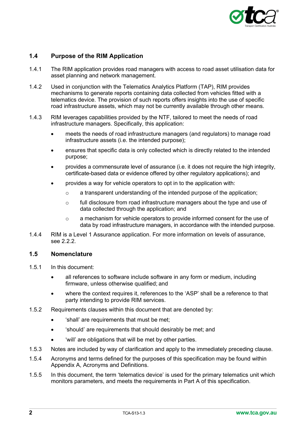

# <span id="page-6-0"></span>**1.4 Purpose of the RIM Application**

- 1.4.1 The RIM application provides road managers with access to road asset utilisation data for asset planning and network management.
- 1.4.2 Used in conjunction with the Telematics Analytics Platform (TAP), RIM provides mechanisms to generate reports containing data collected from vehicles fitted with a telematics device. The provision of such reports offers insights into the use of specific road infrastructure assets, which may not be currently available through other means.
- 1.4.3 RIM leverages capabilities provided by the NTF, tailored to meet the needs of road infrastructure managers. Specifically, this application:
	- meets the needs of road infrastructure managers (and regulators) to manage road infrastructure assets (i.e. the intended purpose);
	- ensures that specific data is only collected which is directly related to the intended purpose;
	- provides a commensurate level of assurance (i.e. it does not require the high integrity, certificate-based data or evidence offered by other regulatory applications); and
	- provides a way for vehicle operators to opt in to the application with:
		- $\circ$  a transparent understanding of the intended purpose of the application;
		- $\circ$  full disclosure from road infrastructure managers about the type and use of data collected through the application; and
		- o a mechanism for vehicle operators to provide informed consent for the use of data by road infrastructure managers, in accordance with the intended purpose.
- 1.4.4 RIM is a Level 1 Assurance application. For more information on levels of assurance, see [2.2.2.](#page-7-4)

### <span id="page-6-1"></span>**1.5 Nomenclature**

- 1.5.1 In this document:
	- all references to software include software in any form or medium, including firmware, unless otherwise qualified; and
	- where the context requires it, references to the 'ASP' shall be a reference to that party intending to provide RIM services.
- 1.5.2 Requirements clauses within this document that are denoted by:
	- 'shall' are requirements that must be met;
	- 'should' are requirements that should desirably be met; and
	- 'will' are obligations that will be met by other parties.
- 1.5.3 Notes are included by way of clarification and apply to the immediately preceding clause.
- 1.5.4 Acronyms and terms defined for the purposes of this specification may be found within Appendix A, Acronyms and Definitions.
- 1.5.5 In this document, the term 'telematics device' is used for the primary telematics unit which monitors parameters, and meets the requirements in Part A of this specification.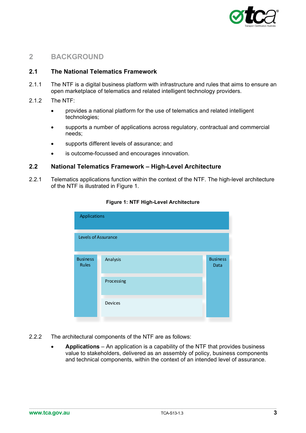

# <span id="page-7-0"></span>**2 BACKGROUND**

# <span id="page-7-1"></span>**2.1 The National Telematics Framework**

- 2.1.1 The NTF is a digital business platform with infrastructure and rules that aims to ensure an open marketplace of telematics and related intelligent technology providers.
- 2.1.2 The NTF:
	- provides a national platform for the use of telematics and related intelligent technologies;
	- supports a number of applications across regulatory, contractual and commercial needs;
	- supports different levels of assurance; and
	- is outcome-focussed and encourages innovation*.*

# <span id="page-7-2"></span>**2.2 National Telematics Framework – High-Level Architecture**

<span id="page-7-3"></span>2.2.1 Telematics applications function within the context of the NTF. The high-level architecture of the NTF is illustrated in [Figure 1.](#page-7-3)

| Applications                    |            |                         |
|---------------------------------|------------|-------------------------|
| Levels of Assurance             |            |                         |
| <b>Business</b><br><b>Rules</b> | Analysis   | <b>Business</b><br>Data |
|                                 | Processing |                         |
|                                 | Devices    |                         |

#### **Figure 1: NTF High-Level Architecture**

- <span id="page-7-4"></span>2.2.2 The architectural components of the NTF are as follows:
	- **Applications** An application is a capability of the NTF that provides business value to stakeholders, delivered as an assembly of policy, business components and technical components, within the context of an intended level of assurance.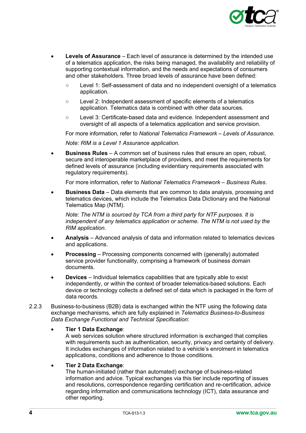

- **Levels of Assurance** Each level of assurance is determined by the intended use of a telematics application, the risks being managed, the availability and reliability of supporting contextual information, and the needs and expectations of consumers and other stakeholders. Three broad levels of assurance have been defined:
	- Level 1: Self-assessment of data and no independent oversight of a telematics application.
	- Level 2: Independent assessment of specific elements of a telematics application. Telematics data is combined with other data sources.
	- Level 3: Certificate-based data and evidence. Independent assessment and oversight of all aspects of a telematics application and service provision.

For more information, refer to *National Telematics Framework – Levels of Assurance*. *Note: RIM is a Level 1 Assurance application.*

• **Business Rules** – A common set of business rules that ensure an open, robust, secure and interoperable marketplace of providers, and meet the requirements for defined levels of assurance (including evidentiary requirements associated with regulatory requirements).

For more information, refer to *National Telematics Framework – Business Rules*.

• **Business Data** – Data elements that are common to data analysis, processing and telematics devices, which include the Telematics Data Dictionary and the National Telematics Map (NTM).

*Note: The NTM is sourced by TCA from a third party for NTF purposes. It is independent of any telematics application or scheme. The NTM is not used by the RIM application.*

- **Analysis** Advanced analysis of data and information related to telematics devices and applications.
- **Processing** Processing components concerned with (generally) automated service provider functionality, comprising a framework of business domain documents.
- **Devices** Individual telematics capabilities that are typically able to exist independently, or within the context of broader telematics-based solutions. Each device or technology collects a defined set of data which is packaged in the form of data records.
- 2.2.3 Business-to-business (B2B) data is exchanged within the NTF using the following data exchange mechanisms, which are fully explained in *Telematics Business-to-Business Data Exchange Functional and Technical Specification*:

### • **Tier 1 Data Exchange**:

A web services solution where structured information is exchanged that complies with requirements such as authentication, security, privacy and certainty of delivery. It includes exchanges of information related to a vehicle's enrolment in telematics applications, conditions and adherence to those conditions.

### • **Tier 2 Data Exchange**:

The human-initiated (rather than automated) exchange of business-related information and advice. Typical exchanges via this tier include reporting of issues and resolutions, correspondence regarding certification and re-certification, advice regarding information and communications technology (ICT), data assurance and other reporting.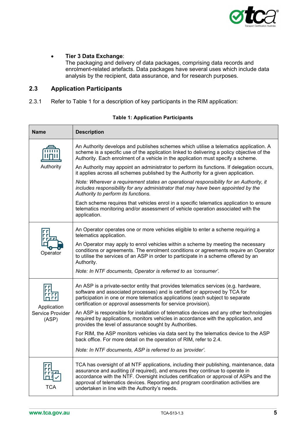

#### • **Tier 3 Data Exchange**:

The packaging and delivery of data packages, comprising data records and enrolment-related artefacts. Data packages have several uses which include data analysis by the recipient, data assurance, and for research purposes.

# <span id="page-9-0"></span>**2.3 Application Participants**

2.3.1 Refer to [Table 1](#page-9-1) for a description of key participants in the RIM application:

<span id="page-9-1"></span>

| <b>Name</b>                | <b>Description</b>                                                                                                                                                                                                                                                                                                                                                                                        |  |  |
|----------------------------|-----------------------------------------------------------------------------------------------------------------------------------------------------------------------------------------------------------------------------------------------------------------------------------------------------------------------------------------------------------------------------------------------------------|--|--|
|                            | An Authority develops and publishes schemes which utilise a telematics application. A<br>scheme is a specific use of the application linked to delivering a policy objective of the<br>Authority. Each enrolment of a vehicle in the application must specify a scheme.                                                                                                                                   |  |  |
| Authority                  | An Authority may appoint an administrator to perform its functions. If delegation occurs,<br>it applies across all schemes published by the Authority for a given application.                                                                                                                                                                                                                            |  |  |
|                            | Note: Wherever a requirement states an operational responsibility for an Authority, it<br>includes responsibility for any administrator that may have been appointed by the<br>Authority to perform its functions.                                                                                                                                                                                        |  |  |
|                            | Each scheme requires that vehicles enrol in a specific telematics application to ensure<br>telematics monitoring and/or assessment of vehicle operation associated with the<br>application.                                                                                                                                                                                                               |  |  |
|                            | An Operator operates one or more vehicles eligible to enter a scheme requiring a<br>telematics application.                                                                                                                                                                                                                                                                                               |  |  |
| Operator                   | An Operator may apply to enrol vehicles within a scheme by meeting the necessary<br>conditions or agreements. The enrolment conditions or agreements require an Operator<br>to utilise the services of an ASP in order to participate in a scheme offered by an<br>Authority.                                                                                                                             |  |  |
|                            | Note: In NTF documents, Operator is referred to as 'consumer'.                                                                                                                                                                                                                                                                                                                                            |  |  |
| Application                | An ASP is a private-sector entity that provides telematics services (e.g. hardware,<br>software and associated processes) and is certified or approved by TCA for<br>participation in one or more telematics applications (each subject to separate<br>certification or approval assessments for service provision).                                                                                      |  |  |
| Service Provider<br>(ASP)  | An ASP is responsible for installation of telematics devices and any other technologies<br>required by applications, monitors vehicles in accordance with the application, and<br>provides the level of assurance sought by Authorities.                                                                                                                                                                  |  |  |
|                            | For RIM, the ASP monitors vehicles via data sent by the telematics device to the ASP<br>back office. For more detail on the operation of RIM, refer to 2.4.                                                                                                                                                                                                                                               |  |  |
|                            | Note: In NTF documents, ASP is referred to as 'provider'.                                                                                                                                                                                                                                                                                                                                                 |  |  |
| <u>г г г</u><br><b>TCA</b> | TCA has oversight of all NTF applications, including their publishing, maintenance, data<br>assurance and auditing (if required), and ensures they continue to operate in<br>accordance with the NTF. Oversight includes certification or approval of ASPs and the<br>approval of telematics devices. Reporting and program coordination activities are<br>undertaken in line with the Authority's needs. |  |  |

### **Table 1: Application Participants**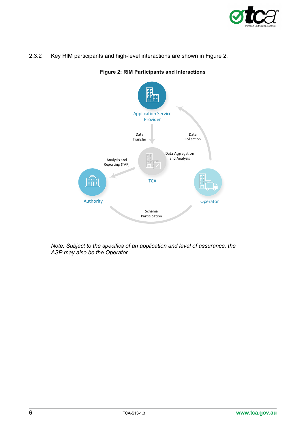

<span id="page-10-0"></span>2.3.2 Key RIM participants and high-level interactions are shown in [Figure 2.](#page-10-0)



# **Figure 2: RIM Participants and Interactions**

*Note: Subject to the specifics of an application and level of assurance, the ASP may also be the Operator.*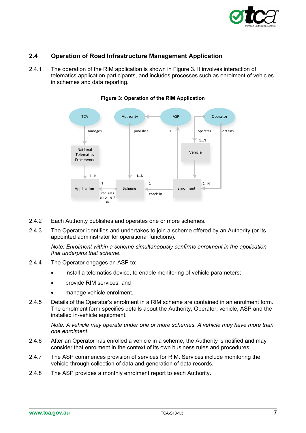

# <span id="page-11-0"></span>**2.4 Operation of Road Infrastructure Management Application**

<span id="page-11-1"></span>2.4.1 The operation of the RIM application is shown in [Figure 3.](#page-11-1) It involves interaction of telematics application participants, and includes processes such as enrolment of vehicles in schemes and data reporting.



#### **Figure 3: Operation of the RIM Application**

- 2.4.2 Each Authority publishes and operates one or more schemes.
- 2.4.3 The Operator identifies and undertakes to join a scheme offered by an Authority (or its appointed administrator for operational functions).

*Note: Enrolment within a scheme simultaneously confirms enrolment in the application that underpins that scheme.*

- 2.4.4 The Operator engages an ASP to:
	- install a telematics device, to enable monitoring of vehicle parameters;
	- provide RIM services; and
	- manage vehicle enrolment.
- 2.4.5 Details of the Operator's enrolment in a RIM scheme are contained in an enrolment form. The enrolment form specifies details about the Authority, Operator, vehicle, ASP and the installed in-vehicle equipment.

*Note: A vehicle may operate under one or more schemes. A vehicle may have more than one enrolment.*

- 2.4.6 After an Operator has enrolled a vehicle in a scheme, the Authority is notified and may consider that enrolment in the context of its own business rules and procedures.
- 2.4.7 The ASP commences provision of services for RIM. Services include monitoring the vehicle through collection of data and generation of data records.
- 2.4.8 The ASP provides a monthly enrolment report to each Authority.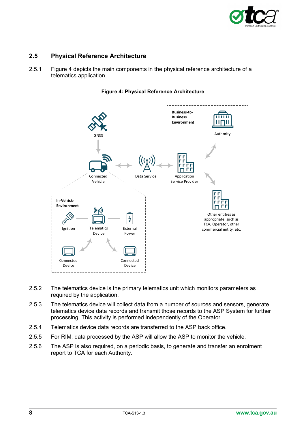

# <span id="page-12-0"></span>**2.5 Physical Reference Architecture**

2.5.1 [Figure 4](#page-12-1) depicts the main components in the physical reference architecture of a telematics application.

<span id="page-12-1"></span>

#### **Figure 4: Physical Reference Architecture**

- 2.5.2 The telematics device is the primary telematics unit which monitors parameters as required by the application.
- 2.5.3 The telematics device will collect data from a number of sources and sensors, generate telematics device data records and transmit those records to the ASP System for further processing. This activity is performed independently of the Operator.
- 2.5.4 Telematics device data records are transferred to the ASP back office.
- 2.5.5 For RIM, data processed by the ASP will allow the ASP to monitor the vehicle.
- 2.5.6 The ASP is also required, on a periodic basis, to generate and transfer an enrolment report to TCA for each Authority.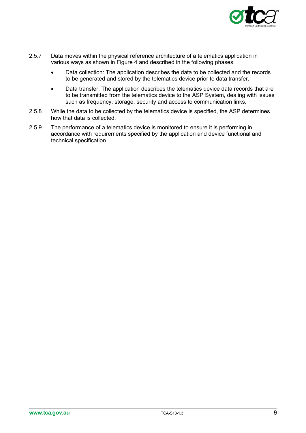

- 2.5.7 Data moves within the physical reference architecture of a telematics application in various ways as shown in [Figure 4](#page-12-1) and described in the following phases:
	- Data collection: The application describes the data to be collected and the records to be generated and stored by the telematics device prior to data transfer.
	- Data transfer: The application describes the telematics device data records that are to be transmitted from the telematics device to the ASP System, dealing with issues such as frequency, storage, security and access to communication links.
- 2.5.8 While the data to be collected by the telematics device is specified, the ASP determines how that data is collected.
- 2.5.9 The performance of a telematics device is monitored to ensure it is performing in accordance with requirements specified by the application and device functional and technical specification.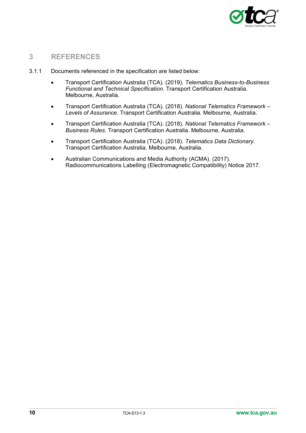

# <span id="page-14-0"></span>**3 REFERENCES**

- 3.1.1 Documents referenced in the specification are listed below:
	- Transport Certification Australia (TCA). (2019). *Telematics Business-to-Business Functional and Technical Specification*. Transport Certification Australia. Melbourne, Australia.
	- Transport Certification Australia (TCA). (2018). *National Telematics Framework – Levels of Assurance*. Transport Certification Australia. Melbourne, Australia.
	- Transport Certification Australia (TCA). (2018). *National Telematics Framework – Business Rules*. Transport Certification Australia. Melbourne, Australia.
	- Transport Certification Australia (TCA). (2018). *Telematics Data Dictionary*. Transport Certification Australia. Melbourne, Australia.
	- Australian Communications and Media Authority (ACMA). (2017). Radiocommunications Labelling (Electromagnetic Compatibility) Notice 2017.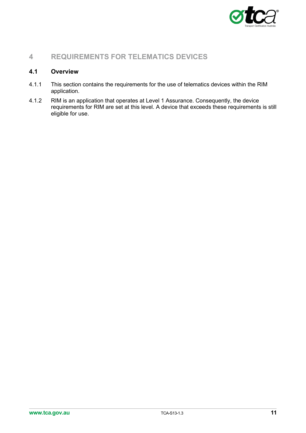

# <span id="page-15-0"></span>**4 REQUIREMENTS FOR TELEMATICS DEVICES**

# <span id="page-15-1"></span>**4.1 Overview**

- 4.1.1 This section contains the requirements for the use of telematics devices within the RIM application.
- 4.1.2 RIM is an application that operates at Level 1 Assurance. Consequently, the device requirements for RIM are set at this level. A device that exceeds these requirements is still eligible for use.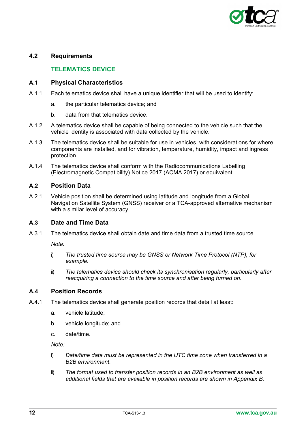

# <span id="page-16-1"></span><span id="page-16-0"></span>**4.2 Requirements**

# **TELEMATICS DEVICE**

### <span id="page-16-2"></span>**A.1 Physical Characteristics**

- A.1.1 Each telematics device shall have a unique identifier that will be used to identify:
	- a. the particular telematics device; and
	- b. data from that telematics device.
- A.1.2 A telematics device shall be capable of being connected to the vehicle such that the vehicle identity is associated with data collected by the vehicle.
- A.1.3 The telematics device shall be suitable for use in vehicles, with considerations for where components are installed, and for vibration, temperature, humidity, impact and ingress protection.
- A.1.4 The telematics device shall conform with the Radiocommunications Labelling (Electromagnetic Compatibility) Notice 2017 (ACMA 2017) or equivalent.

### <span id="page-16-3"></span>**A.2 Position Data**

A.2.1 Vehicle position shall be determined using latitude and longitude from a Global Navigation Satellite System (GNSS) receiver or a TCA-approved alternative mechanism with a similar level of accuracy.

### <span id="page-16-4"></span>**A.3 Date and Time Data**

A.3.1 The telematics device shall obtain date and time data from a trusted time source.

*Note:* 

- i) *The trusted time source may be GNSS or Network Time Protocol (NTP), for example.*
- ii) *The telematics device should check its synchronisation regularly, particularly after reacquiring a connection to the time source and after being turned on.*

#### <span id="page-16-5"></span>**A.4 Position Records**

- <span id="page-16-6"></span>A.4.1 The telematics device shall generate position records that detail at least:
	- a. vehicle latitude;
	- b. vehicle longitude; and
	- c. date/time.

*Note:* 

- i) *Date/time data must be represented in the UTC time zone when transferred in a B2B environment.*
- ii) *The format used to transfer position records in an B2B environment as well as additional fields that are available in position records are shown in [Appendix B.](#page-26-0)*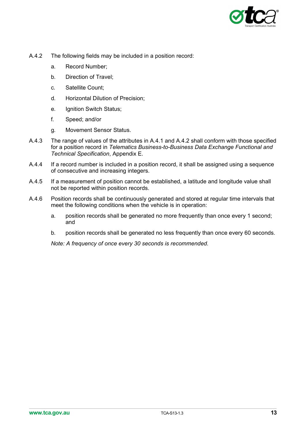

- <span id="page-17-0"></span>A.4.2 The following fields may be included in a position record:
	- a. Record Number;
	- b. Direction of Travel;
	- c. Satellite Count;
	- d. Horizontal Dilution of Precision;
	- e. Ignition Switch Status;
	- f. Speed; and/or
	- g. Movement Sensor Status.
- A.4.3 The range of values of the attributes in [A.4.1](#page-16-6) and [A.4.2](#page-17-0) shall conform with those specified for a position record in *Telematics Business-to-Business Data Exchange Functional and Technical Specification*, Appendix E.
- A.4.4 If a record number is included in a position record, it shall be assigned using a sequence of consecutive and increasing integers.
- A.4.5 If a measurement of position cannot be established, a latitude and longitude value shall not be reported within position records.
- A.4.6 Position records shall be continuously generated and stored at regular time intervals that meet the following conditions when the vehicle is in operation:
	- a. position records shall be generated no more frequently than once every 1 second; and
	- b. position records shall be generated no less frequently than once every 60 seconds.

*Note: A frequency of once every 30 seconds is recommended.*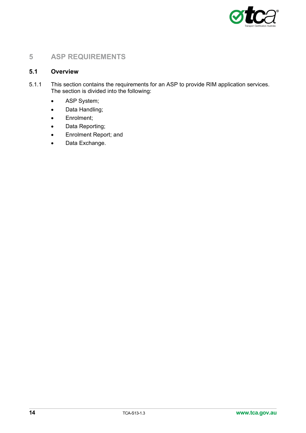

# <span id="page-18-0"></span>**5 ASP REQUIREMENTS**

# <span id="page-18-1"></span>**5.1 Overview**

- 5.1.1 This section contains the requirements for an ASP to provide RIM application services. The section is divided into the following:
	- ASP System;
	- Data Handling;
	- Enrolment;
	- Data Reporting;
	- Enrolment Report; and
	- Data Exchange.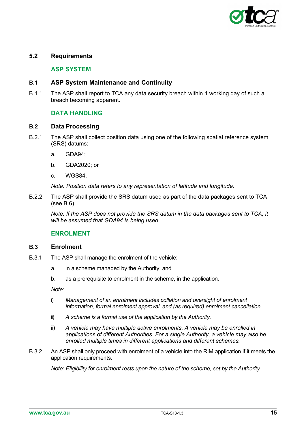

# <span id="page-19-0"></span>**5.2 Requirements**

### **B. ASP SYSTEM**

### <span id="page-19-2"></span><span id="page-19-1"></span>**B.1 ASP System Maintenance and Continuity**

<span id="page-19-3"></span>B.1.1 The ASP shall report to TCA any data security breach within 1 working day of such a breach becoming apparent.

# **DATA HANDLING**

#### <span id="page-19-4"></span>**B.2 Data Processing**

- B.2.1 The ASP shall collect position data using one of the following spatial reference system (SRS) datums:
	- a. GDA94;
	- b. GDA2020; or
	- c. WGS84.

*Note: Position data refers to any representation of latitude and longitude.*

B.2.2 The ASP shall provide the SRS datum used as part of the data packages sent to TCA (see [B.6\)](#page-21-2).

*Note: If the ASP does not provide the SRS datum in the data packages sent to TCA, it will be assumed that GDA94 is being used.*

### **ENROLMENT**

#### <span id="page-19-6"></span><span id="page-19-5"></span>**B.3 Enrolment**

- B.3.1 The ASP shall manage the enrolment of the vehicle:
	- a. in a scheme managed by the Authority; and
	- b. as a prerequisite to enrolment in the scheme, in the application.

*Note:*

- i) *Management of an enrolment includes collation and oversight of enrolment information, formal enrolment approval, and (as required) enrolment cancellation.*
- ii) *A scheme is a formal use of the application by the Authority.*
- iii) *A vehicle may have multiple active enrolments. A vehicle may be enrolled in applications of different Authorities. For a single Authority, a vehicle may also be enrolled multiple times in different applications and different schemes.*
- B.3.2 An ASP shall only proceed with enrolment of a vehicle into the RIM application if it meets the application requirements.

*Note: Eligibility for enrolment rests upon the nature of the scheme, set by the Authority.*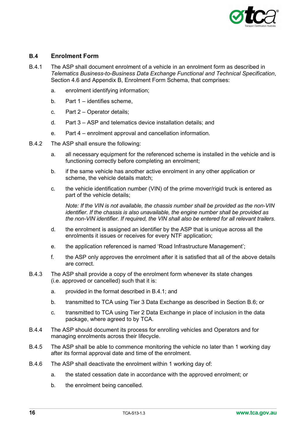

## <span id="page-20-0"></span>**B.4 Enrolment Form**

- <span id="page-20-1"></span>B.4.1 The ASP shall document enrolment of a vehicle in an enrolment form as described in *Telematics Business-to-Business Data Exchange Functional and Technical Specification*, Section 4.6 and Appendix B, Enrolment Form Schema, that comprises:
	- a. enrolment identifying information;
	- b. Part 1 identifies scheme,
	- c. Part 2 Operator details;
	- d. Part 3 ASP and telematics device installation details; and
	- e. Part 4 enrolment approval and cancellation information.
- B.4.2 The ASP shall ensure the following:
	- a. all necessary equipment for the referenced scheme is installed in the vehicle and is functioning correctly before completing an enrolment;
	- b. if the same vehicle has another active enrolment in any other application or scheme, the vehicle details match;
	- c. the vehicle identification number (VIN) of the prime mover/rigid truck is entered as part of the vehicle details;

*Note: If the VIN is not available, the chassis number shall be provided as the non-VIN identifier. If the chassis is also unavailable, the engine number shall be provided as the non-VIN identifier. If required, the VIN shall also be entered for all relevant trailers.*

- d. the enrolment is assigned an identifier by the ASP that is unique across all the enrolments it issues or receives for every NTF application;
- e. the application referenced is named 'Road Infrastructure Management';
- f. the ASP only approves the enrolment after it is satisfied that all of the above details are correct.
- B.4.3 The ASP shall provide a copy of the enrolment form whenever its state changes (i.e. approved or cancelled) such that it is:
	- a. provided in the format described in [B.4.1;](#page-20-1) and
	- b. transmitted to TCA using Tier 3 Data Exchange as described in Section [B.6;](#page-21-2) or
	- c. transmitted to TCA using Tier 2 Data Exchange in place of inclusion in the data package, where agreed to by TCA.
- B.4.4 The ASP should document its process for enrolling vehicles and Operators and for managing enrolments across their lifecycle.
- B.4.5 The ASP shall be able to commence monitoring the vehicle no later than 1 working day after its formal approval date and time of the enrolment.
- B.4.6 The ASP shall deactivate the enrolment within 1 working day of:
	- a. the stated cessation date in accordance with the approved enrolment; or
	- b. the enrolment being cancelled.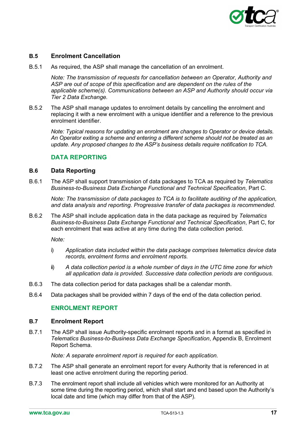

# <span id="page-21-0"></span>**B.5 Enrolment Cancellation**

B.5.1 As required, the ASP shall manage the cancellation of an enrolment.

*Note: The transmission of requests for cancellation between an Operator, Authority and ASP are out of scope of this specification and are dependent on the rules of the applicable scheme(s). Communications between an ASP and Authority should occur via Tier 2 Data Exchange.*

B.5.2 The ASP shall manage updates to enrolment details by cancelling the enrolment and replacing it with a new enrolment with a unique identifier and a reference to the previous enrolment identifier.

*Note: Typical reasons for updating an enrolment are changes to Operator or device details. An Operator exiting a scheme and entering a different scheme should not be treated as an update. Any proposed changes to the ASP's business details require notification to TCA.* 

### **DATA REPORTING**

#### <span id="page-21-2"></span><span id="page-21-1"></span>**B.6 Data Reporting**

B.6.1 The ASP shall support transmission of data packages to TCA as required by *Telematics Business-to-Business Data Exchange Functional and Technical Specification*, Part C.

*Note: The transmission of data packages to TCA is to facilitate auditing of the application, and data analysis and reporting*. *Progressive transfer of data packages is recommended.*

B.6.2 The ASP shall include application data in the data package as required by *Telematics Business-to-Business Data Exchange Functional and Technical Specification*, Part C, for each enrolment that was active at any time during the data collection period.

*Note:* 

- i) *Application data included within the data package comprises telematics device data records, enrolment forms and enrolment reports.*
- ii) *A data collection period is a whole number of days in the UTC time zone for which all application data is provided. Successive data collection periods are contiguous.*
- B.6.3 The data collection period for data packages shall be a calendar month.
- <span id="page-21-3"></span>B.6.4 Data packages shall be provided within 7 days of the end of the data collection period.

### **ENROLMENT REPORT**

#### <span id="page-21-4"></span>**B.7 Enrolment Report**

<span id="page-21-5"></span>B.7.1 The ASP shall issue Authority-specific enrolment reports and in a format as specified in *Telematics Business-to-Business Data Exchange Specification*, Appendix B, Enrolment Report Schema.

*Note: A separate enrolment report is required for each application.*

- B.7.2 The ASP shall generate an enrolment report for every Authority that is referenced in at least one active enrolment during the reporting period.
- B.7.3 The enrolment report shall include all vehicles which were monitored for an Authority at some time during the reporting period, which shall start and end based upon the Authority's local date and time (which may differ from that of the ASP).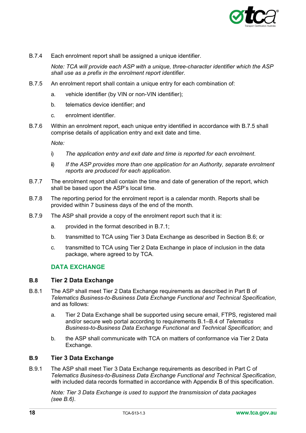

B.7.4 Each enrolment report shall be assigned a unique identifier.

*Note: TCA will provide each ASP with a unique, three-character identifier which the ASP shall use as a prefix in the enrolment report identifier.*

- <span id="page-22-3"></span>B.7.5 An enrolment report shall contain a unique entry for each combination of:
	- a. vehicle identifier (by VIN or non-VIN identifier);
	- b. telematics device identifier; and
	- c. enrolment identifier.
- B.7.6 Within an enrolment report, each unique entry identified in accordance with [B.7.5](#page-22-3) shall comprise details of application entry and exit date and time.

*Note:* 

- i) *The application entry and exit date and time is reported for each enrolment*.
- ii) *If the ASP provides more than one application for an Authority, separate enrolment reports are produced for each application*.
- B.7.7 The enrolment report shall contain the time and date of generation of the report, which shall be based upon the ASP's local time.
- B.7.8 The reporting period for the enrolment report is a calendar month. Reports shall be provided within 7 business days of the end of the month.
- B.7.9 The ASP shall provide a copy of the enrolment report such that it is:
	- a. provided in the format described in [B.7.1;](#page-21-5)
	- b. transmitted to TCA using Tier 3 Data Exchange as described in Section [B.6;](#page-21-2) or
	- c. transmitted to TCA using Tier 2 Data Exchange in place of inclusion in the data package, where agreed to by TCA.

### **DATA EXCHANGE**

### <span id="page-22-1"></span><span id="page-22-0"></span>**B.8 Tier 2 Data Exchange**

- B.8.1 The ASP shall meet Tier 2 Data Exchange requirements as described in Part B of *Telematics Business-to-Business Data Exchange Functional and Technical Specification*, and as follows:
	- a. Tier 2 Data Exchange shall be supported using secure email, FTPS, registered mail and/or secure web portal according to requirements B.1–B.4 of *Telematics Business-to-Business Data Exchange Functional and Technical Specification*; and
	- b. the ASP shall communicate with TCA on matters of conformance via Tier 2 Data Exchange.

### <span id="page-22-2"></span>**B.9 Tier 3 Data Exchange**

B.9.1 The ASP shall meet Tier 3 Data Exchange requirements as described in Part C of *Telematics Business-to-Business Data Exchange Functional and Technical Specification*, with included data records formatted in accordance with Appendix B of this specification.

*Note: Tier 3 Data Exchange is used to support the transmission of data packages (see [B.6\)](#page-21-2)*.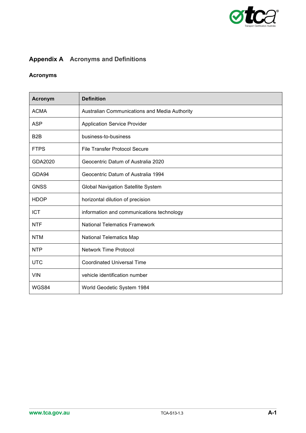

# <span id="page-23-0"></span>**Appendix A Acronyms and Definitions**

# **Acronyms**

| <b>Acronym</b>   | <b>Definition</b>                             |
|------------------|-----------------------------------------------|
| <b>ACMA</b>      | Australian Communications and Media Authority |
| <b>ASP</b>       | <b>Application Service Provider</b>           |
| B <sub>2</sub> B | business-to-business                          |
| <b>FTPS</b>      | <b>File Transfer Protocol Secure</b>          |
| GDA2020          | Geocentric Datum of Australia 2020            |
| GDA94            | Geocentric Datum of Australia 1994            |
| <b>GNSS</b>      | <b>Global Navigation Satellite System</b>     |
| <b>HDOP</b>      | horizontal dilution of precision              |
| <b>ICT</b>       | information and communications technology     |
| <b>NTF</b>       | <b>National Telematics Framework</b>          |
| <b>NTM</b>       | <b>National Telematics Map</b>                |
| <b>NTP</b>       | <b>Network Time Protocol</b>                  |
| <b>UTC</b>       | <b>Coordinated Universal Time</b>             |
| <b>VIN</b>       | vehicle identification number                 |
| WGS84            | World Geodetic System 1984                    |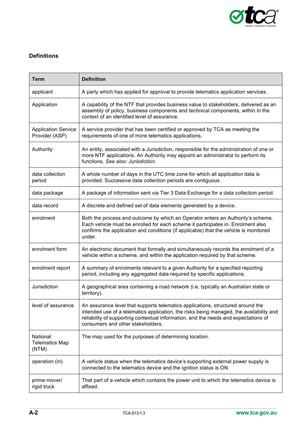

# **Definitions**

| <b>Term</b>                                                                                                                                                                                                                   | <b>Definition</b>                                                                                                                                                                                                                                                                                      |  |  |
|-------------------------------------------------------------------------------------------------------------------------------------------------------------------------------------------------------------------------------|--------------------------------------------------------------------------------------------------------------------------------------------------------------------------------------------------------------------------------------------------------------------------------------------------------|--|--|
| applicant                                                                                                                                                                                                                     | A party which has applied for approval to provide telematics application services.                                                                                                                                                                                                                     |  |  |
| Application                                                                                                                                                                                                                   | A capability of the NTF that provides business value to stakeholders, delivered as an<br>assembly of policy, business components and technical components, within in the<br>context of an identified level of assurance.                                                                               |  |  |
| A service provider that has been certified or approved by TCA as meeting the<br><b>Application Service</b><br>requirements of one of more telematics applications.<br>Provider (ASP)                                          |                                                                                                                                                                                                                                                                                                        |  |  |
| An entity, associated with a Jurisdiction, responsible for the administration of one or<br>Authority<br>more NTF applications. An Authority may appoint an administrator to perform its<br>functions. See also: Jurisdiction. |                                                                                                                                                                                                                                                                                                        |  |  |
| data collection<br>period                                                                                                                                                                                                     | A whole number of days in the UTC time zone for which all application data is<br>provided. Successive data collection periods are contiguous.                                                                                                                                                          |  |  |
| data package                                                                                                                                                                                                                  | A package of information sent via Tier 3 Data Exchange for a data collection period.                                                                                                                                                                                                                   |  |  |
| data record                                                                                                                                                                                                                   | A discrete and defined set of data elements generated by a device.                                                                                                                                                                                                                                     |  |  |
| enrolment                                                                                                                                                                                                                     | Both the process and outcome by which an Operator enters an Authority's scheme.<br>Each vehicle must be enrolled for each scheme it participates in. Enrolment also<br>confirms the application and conditions (if applicable) that the vehicle is monitored<br>under.                                 |  |  |
| enrolment form                                                                                                                                                                                                                | An electronic document that formally and simultaneously records the enrolment of a<br>vehicle within a scheme, and within the application required by that scheme.                                                                                                                                     |  |  |
| enrolment report                                                                                                                                                                                                              | A summary of enrolments relevant to a given Authority for a specified reporting<br>period, including any aggregated data required by specific applications.                                                                                                                                            |  |  |
| Jurisdiction                                                                                                                                                                                                                  | A geographical area containing a road network (i.e. typically an Australian state or<br>territory).                                                                                                                                                                                                    |  |  |
| level of assurance                                                                                                                                                                                                            | An assurance level that supports telematics applications, structured around the<br>intended use of a telematics application, the risks being managed, the availability and<br>reliability of supporting contextual information, and the needs and expectations of<br>consumers and other stakeholders. |  |  |
| National<br><b>Telematics Map</b><br>(NTM)                                                                                                                                                                                    | The map used for the purposes of determining location.                                                                                                                                                                                                                                                 |  |  |
| operation (in)                                                                                                                                                                                                                | A vehicle status when the telematics device's supporting external power supply is<br>connected to the telematics device and the ignition status is ON.                                                                                                                                                 |  |  |
| prime mover/<br>rigid truck                                                                                                                                                                                                   | That part of a vehicle which contains the power unit to which the telematics device is<br>affixed.                                                                                                                                                                                                     |  |  |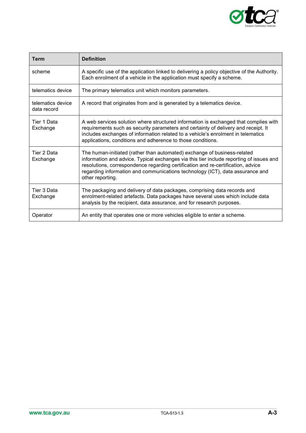

| <b>Term</b>                      | <b>Definition</b>                                                                                                                                                                                                                                                                                                                                            |  |
|----------------------------------|--------------------------------------------------------------------------------------------------------------------------------------------------------------------------------------------------------------------------------------------------------------------------------------------------------------------------------------------------------------|--|
| scheme                           | A specific use of the application linked to delivering a policy objective of the Authority.<br>Each enrolment of a vehicle in the application must specify a scheme.                                                                                                                                                                                         |  |
| telematics device                | The primary telematics unit which monitors parameters.                                                                                                                                                                                                                                                                                                       |  |
| telematics device<br>data record | A record that originates from and is generated by a telematics device.                                                                                                                                                                                                                                                                                       |  |
| Tier 1 Data<br>Exchange          | A web services solution where structured information is exchanged that complies with<br>requirements such as security parameters and certainty of delivery and receipt. It<br>includes exchanges of information related to a vehicle's enrolment in telematics<br>applications, conditions and adherence to those conditions.                                |  |
| Tier 2 Data<br>Exchange          | The human-initiated (rather than automated) exchange of business-related<br>information and advice. Typical exchanges via this tier include reporting of issues and<br>resolutions, correspondence regarding certification and re-certification, advice<br>regarding information and communications technology (ICT), data assurance and<br>other reporting. |  |
| Tier 3 Data<br>Exchange          | The packaging and delivery of data packages, comprising data records and<br>enrolment-related artefacts. Data packages have several uses which include data<br>analysis by the recipient, data assurance, and for research purposes.                                                                                                                         |  |
| Operator                         | An entity that operates one or more vehicles eligible to enter a scheme.                                                                                                                                                                                                                                                                                     |  |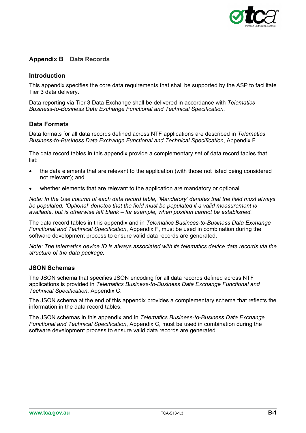

# <span id="page-26-0"></span>**Appendix B Data Records**

### **Introduction**

This appendix specifies the core data requirements that shall be supported by the ASP to facilitate Tier 3 data delivery.

Data reporting via Tier 3 Data Exchange shall be delivered in accordance with *Telematics Business-to-Business Data Exchange Functional and Technical Specification.*

### **Data Formats**

Data formats for all data records defined across NTF applications are described in *Telematics Business-to-Business Data Exchange Functional and Technical Specification*, Appendix F.

The data record tables in this appendix provide a complementary set of data record tables that list:

- the data elements that are relevant to the application (with those not listed being considered not relevant); and
- whether elements that are relevant to the application are mandatory or optional.

*Note: In the Use column of each data record table, 'Mandatory' denotes that the field must always be populated. 'Optional' denotes that the field must be populated if a valid measurement is available, but is otherwise left blank – for example, when position cannot be established.*

The data record tables in this appendix and in *Telematics Business-to-Business Data Exchange Functional and Technical Specification*, Appendix F, must be used in combination during the software development process to ensure valid data records are generated.

*Note: The telematics device ID is always associated with its telematics device data records via the structure of the data package.*

### **JSON Schemas**

The JSON schema that specifies JSON encoding for all data records defined across NTF applications is provided in *Telematics Business-to-Business Data Exchange Functional and Technical Specification*, Appendix C.

The JSON schema at the end of this appendix provides a complementary schema that reflects the information in the data record tables.

The JSON schemas in this appendix and in *Telematics Business-to-Business Data Exchange Functional and Technical Specification*, Appendix C, must be used in combination during the software development process to ensure valid data records are generated.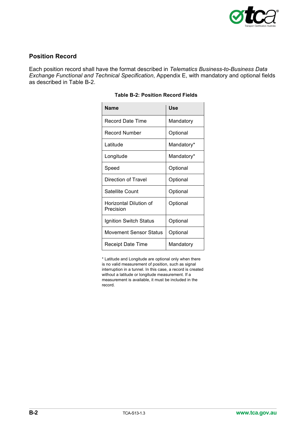

# **Position Record**

Each position record shall have the format described in *Telematics Business-to-Business Data Exchange Functional and Technical Specification*, Appendix E, with mandatory and optional fields as described in [Table B-2.](#page-27-0)

| <b>Name</b>                         | Use        |
|-------------------------------------|------------|
| <b>Record Date Time</b>             | Mandatory  |
| <b>Record Number</b>                | Optional   |
| Latitude                            | Mandatory* |
| Longitude                           | Mandatory* |
| Speed                               | Optional   |
| Direction of Travel                 | Optional   |
| Satellite Count                     | Optional   |
| Horizontal Dilution of<br>Precision | Optional   |
| Ignition Switch Status              | Optional   |
| Movement Sensor Status              | Optional   |
| Receipt Date Time                   | Mandatory  |

### **Table B-2: Position Record Fields**

<span id="page-27-0"></span>\* Latitude and Longitude are optional only when there is no valid measurement of position, such as signal interruption in a tunnel. In this case, a record is created without a latitude or longitude measurement. If a measurement is available, it must be included in the record.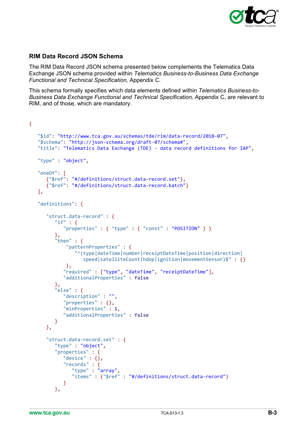

# **RIM Data Record JSON Schema**

The RIM Data Record JSON schema presented below complements the Telematics Data Exchange JSON schema provided within *Telematics Business-to-Business Data Exchange Functional and Technical Specification,* Appendix C.

This schema formally specifies which data elements defined within *Telematics Business-to-Business Data Exchange Functional and Technical Specification,* Appendix C, are relevant to RIM, and of those, which are mandatory.

```
{
    "$id": "http://www.tca.gov.au/schemas/tde/rim/data-record/2018-07",
    "$schema": "http://json-schema.org/draft-07/schema#",
    "title": "Telematics Data Exchange (TDE) - data record definitions for IAP",
    "type" : "object",
    "oneOf": [
       {"$ref": "#/definitions/struct.data-record.set"},
       {"$ref": "#/definitions/struct.data-record.batch"}
    ],
    "definitions": {
       "struct.data-record" : {
         "if" : {
            "properties" : { "type" : { "const" : "POSITION" } }
          },
         "then" : \{ "patternProperties" : {
                  "^(type|dateTime|number|receiptDateTime|position|direction|
                    speed|satelliteCount|hdop|ignition|movementSensor)$" : {}
              },
             "required" : ["type", "dateTime", "receiptDateTime"],
             "additionalProperties" : false
          },
          "else" : {
             "description" : "",
             "properties" : {},
             "minProperties" : 1,
             "additionalProperties" : false
          }
       },
       "struct.data-record.set" : {
          "type" : "object",
          "properties" : {
             "device" : {},
             "records" : {
                "type" : "array",
                "items" : {"$ref" : "#/definitions/struct.data-record"}
             }
          },
```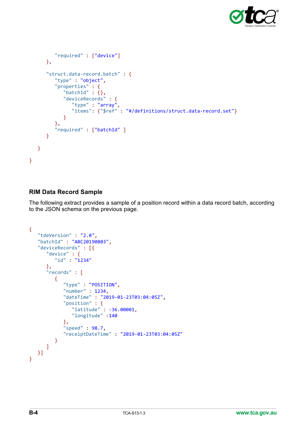

```
 "required" : ["device"]
      },
      "struct.data-record.batch" : {
         "type" : "object",
         "properties" : {
           "batchId" : {},
           "deviceRecords" : {
 "type" : "array",
 "items": {"$ref" : "#/definitions/struct.data-record.set"}
 }
         },
         "required" : ["batchId" ]
      }
   }
```
# **RIM Data Record Sample**

}

The following extract provides a sample of a position record within a data record batch, according to the JSON schema on the previous page.

```
{
    "tdeVersion" : "2.0",
    "batchId" : "ABC20190803",
    "deviceRecords" : [{
 "device" : {
 "id" : "1234"
       },
       "records" : [
          {
             "type" : "POSITION",
             "number" : 1234,
             "dateTime" : "2019-01-23T03:04:05Z",
             "position" : {
                "latitude" : -36.00001,
                "longitude" :140
             },
             "speed" : 98.7,
             "receiptDateTime" : "2019-01-23T03:04:05Z"
          }
       ]
   }]
}
```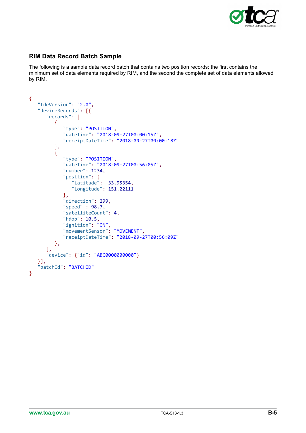

# **RIM Data Record Batch Sample**

The following is a sample data record batch that contains two position records: the first contains the minimum set of data elements required by RIM, and the second the complete set of data elements allowed by RIM.

```
{
    "tdeVersion": "2.0",
    "deviceRecords": [{
       "records": [
          {
             "type": "POSITION",
             "dateTime": "2018-09-27T00:00:15Z",
             "receiptDateTime": "2018-09-27T00:00:18Z"
          },
          {
             "type": "POSITION",
             "dateTime": "2018-09-27T00:56:05Z",
             "number": 1234,
             "position": {
                "latitude": -33.95354,
                "longitude": 151.22111
             },
             "direction": 299,
             "speed" : 98.7,
             "satelliteCount": 4,
            "hdop": 10.5,
             "ignition": "ON",
 "movementSensor": "MOVEMENT",
 "receiptDateTime": "2018-09-27T00:56:09Z"
          },
       ],
       "device": {"id": "ABC0000000000"}
    }],
    "batchId": "BATCHID"
}
```